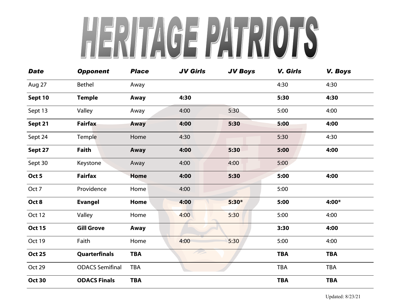## HENITAGE PATRIOTS

| <b>Date</b>   | <b>Opponent</b>        | <b>Place</b> | <b>JV Girls</b> | <b>JV Boys</b> | V. Girls   | <b>V. Boys</b> |
|---------------|------------------------|--------------|-----------------|----------------|------------|----------------|
| Aug 27        | Bethel                 | Away         |                 |                | 4:30       | 4:30           |
| Sept 10       | <b>Temple</b>          | Away         | 4:30            |                | 5:30       | 4:30           |
| Sept 13       | Valley                 | Away         | 4:00            | 5:30           | 5:00       | 4:00           |
| Sept 21       | <b>Fairfax</b>         | Away         | 4:00            | 5:30           | 5:00       | 4:00           |
| Sept 24       | Temple                 | Home         | 4:30            |                | 5:30       | 4:30           |
| Sept 27       | Faith                  | Away         | 4:00            | 5:30           | 5:00       | 4:00           |
| Sept 30       | Keystone               | Away         | 4:00            | 4:00           | 5:00       |                |
| Oct 5         | <b>Fairfax</b>         | <b>Home</b>  | 4:00            | 5:30           | 5:00       | 4:00           |
| Oct 7         | Providence             | Home         | 4:00            |                | 5:00       |                |
| Oct 8         | <b>Evangel</b>         | Home         | 4:00            | $5:30*$        | 5:00       | 4:00*          |
| Oct 12        | Valley                 | Home         | 4:00            | 5:30           | 5:00       | 4:00           |
| <b>Oct 15</b> | <b>Gill Grove</b>      | Away         |                 |                | 3:30       | 4:00           |
| Oct 19        | Faith                  | Home         | 4:00            | 5:30           | 5:00       | 4:00           |
| <b>Oct 25</b> | Quarterfinals          | <b>TBA</b>   | 17              |                | <b>TBA</b> | <b>TBA</b>     |
| Oct 29        | <b>ODACS Semifinal</b> | <b>TBA</b>   |                 |                | <b>TBA</b> | <b>TBA</b>     |
| <b>Oct 30</b> | <b>ODACS Finals</b>    | <b>TBA</b>   |                 |                | <b>TBA</b> | <b>TBA</b>     |